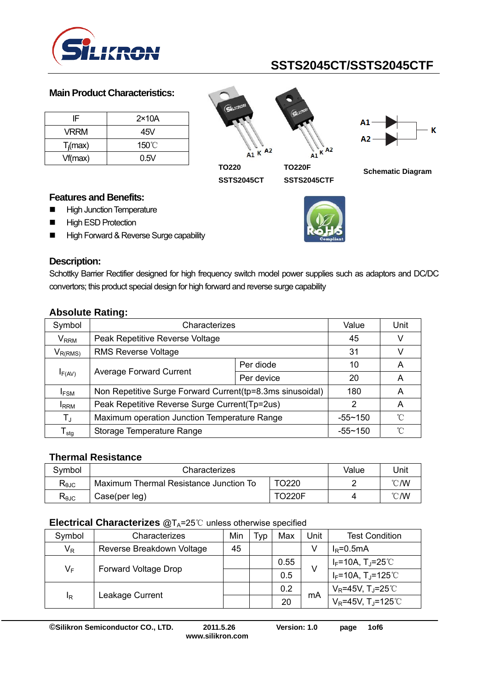

### **Main Product Characteristics:**

| IF          | $2\times 10A$   |
|-------------|-----------------|
| <b>VRRM</b> | 45V             |
| $T_i$ (max) | $150^{\circ}$ C |
| Vf(max)     | 0.5V            |







**TO220 SSTS2045CT** 

**TO220F SSTS2045CTF** 



**Schematic Diagram** 

### **Features and Benefits:**

- **High Junction Temperature**
- **High ESD Protection**
- High Forward & Reverse Surge capability



## **Description:**

Schottky Barrier Rectifier designed for high frequency switch model power supplies such as adaptors and DC/DC convertors; this product special design for high forward and reverse surge capability

|                              | .                                                         |             |      |   |
|------------------------------|-----------------------------------------------------------|-------------|------|---|
| Symbol                       | Characterizes                                             | Value       | Unit |   |
| $\mathsf{V}_{\mathsf{RRM}}$  | Peak Repetitive Reverse Voltage                           |             | 45   |   |
| $V_{R(RMS)}$                 | <b>RMS Reverse Voltage</b>                                |             | 31   |   |
|                              |                                                           | Per diode   | 10   | A |
| $I_{F(AV)}$                  | <b>Average Forward Current</b>                            | Per device  | 20   | A |
| <b>IFSM</b>                  | Non Repetitive Surge Forward Current(tp=8.3ms sinusoidal) | 180         | A    |   |
| <b>I</b> RRM                 | Peak Repetitive Reverse Surge Current (Tp=2us)            | 2           | A    |   |
| $T_{J}$                      | Maximum operation Junction Temperature Range              | $-55 - 150$ | ∽    |   |
| ${\mathsf T}_{\textsf{stg}}$ | Storage Temperature Range                                 | $-55 - 150$ | ∽°   |   |

## **Absolute Rating:**

### **Thermal Resistance**

| Svmbol                         | Characterizes                          | Value         | Jnit |    |
|--------------------------------|----------------------------------------|---------------|------|----|
| $\mathsf{R}_{\theta\text{JC}}$ | Maximum Thermal Resistance Junction To |               | °C/W |    |
| $R_{\theta$ JC                 | Case(per leg)                          | <b>TO220F</b> |      | ℃W |

### **Electrical Characterizes @TA=25 ℃ unless otherwise specified**

| Symbol | Characterizes             | Min | Typ | Max  | Unit | <b>Test Condition</b>             |
|--------|---------------------------|-----|-----|------|------|-----------------------------------|
| $V_R$  | Reverse Breakdown Voltage | 45  |     |      |      | $I_R = 0.5mA$                     |
| $V_F$  |                           |     |     | 0.55 | V    | $I_F$ =10A, T <sub>J</sub> =25℃   |
|        | Forward Voltage Drop      |     |     | 0.5  |      | $I_F$ =10A, T <sub>J</sub> =125℃  |
| ΙŖ     | Leakage Current           |     |     | 0.2  |      | $V_R$ =45V, T <sub>J</sub> =25°C  |
|        |                           |     |     | 20   | mA   | $V_R$ =45V, T <sub>J</sub> =125°C |

**©Silikron Semiconductor CO., LTD. 2011.5.26 Version: 1.0 page 1of6** 

**www.silikron.com**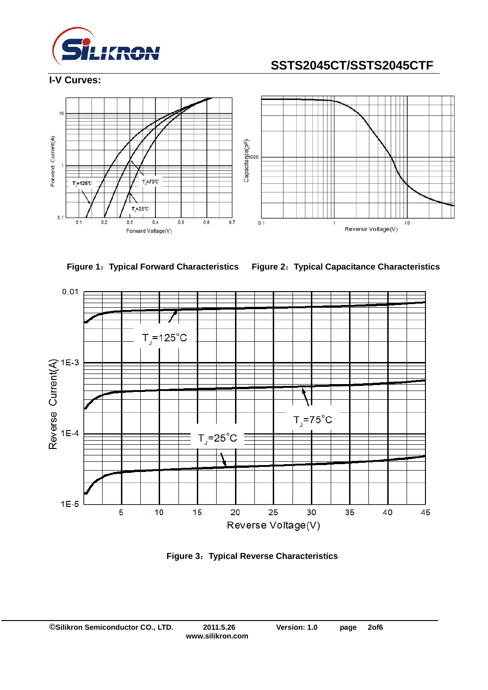

**I-V Curves:** 







**Figure 3**:**Typical Reverse Characteristics**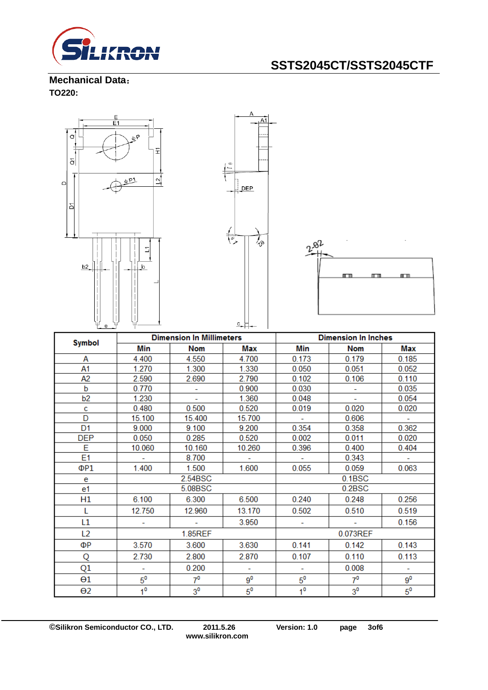

**Mechanical Data**: **TO220:** 



|                | <b>Dimension In Millimeters</b><br><b>Symbol</b> |                | <b>Dimension In Inches</b> |                |                |             |
|----------------|--------------------------------------------------|----------------|----------------------------|----------------|----------------|-------------|
|                | Min                                              | <b>Nom</b>     | Max                        | Min            | <b>Nom</b>     | Max         |
| А              | 4.400                                            | 4.550          | 4.700                      | 0.173          | 0.179          | 0.185       |
| A1             | 1.270                                            | 1.300          | 1.330                      | 0.050          | 0.051          | 0.052       |
| A2             | 2.590                                            | 2.690          | 2.790                      | 0.102          | 0.106          | 0.110       |
| b              | 0.770                                            |                | 0.900                      | 0.030          |                | 0.035       |
| b <sub>2</sub> | 1.230                                            | ÷.             | 1.360                      | 0.048          | ÷.             | 0.054       |
| c              | 0.480                                            | 0.500          | 0.520                      | 0.019          | 0.020          | 0.020       |
| D              | 15.100                                           | 15.400         | 15.700                     |                | 0.606          |             |
| D <sub>1</sub> | 9.000                                            | 9.100          | 9.200                      | 0.354          | 0.358          | 0.362       |
| <b>DEP</b>     | 0.050                                            | 0.285          | 0.520                      | 0.002          | 0.011          | 0.020       |
| E              | 10.060                                           | 10.160         | 10.260                     | 0.396          | 0.400          | 0.404       |
| E1             |                                                  | 8.700          |                            |                | 0.343          |             |
| ΦP1            | 1.400                                            | 1.500          | 1.600                      | 0.055          | 0.059          | 0.063       |
| e              |                                                  | 2.54BSC        |                            | 0.1BSC         |                |             |
| e1             |                                                  | 5.08BSC        |                            | 0.2BSC         |                |             |
| Η1             | 6.100                                            | 6.300          | 6.500                      | 0.240          | 0.248          | 0.256       |
| L              | 12.750                                           | 12.960         | 13.170                     | 0.502          | 0.510          | 0.519       |
| L1             |                                                  |                | 3.950                      |                |                | 0.156       |
| L <sub>2</sub> |                                                  | 1.85REF        |                            | 0.073REF       |                |             |
| ΦР             | 3.570                                            | 3.600          | 3.630                      | 0.141          | 0.142          | 0.143       |
| Q              | 2.730                                            | 2.800          | 2.870                      | 0.107          | 0.110          | 0.113       |
| Q1             | ۰                                                | 0.200          | ÷                          |                | 0.008          | ٠           |
| θ1             | $5^{\circ}$                                      | $7^{\circ}$    | $9^0$                      | $5^{\circ}$    | $7^0$          | $9^0$       |
| $\Theta$ 2     | 1 <sup>0</sup>                                   | 3 <sup>0</sup> | $5^{\circ}$                | 1 <sup>0</sup> | 3 <sup>0</sup> | $5^{\circ}$ |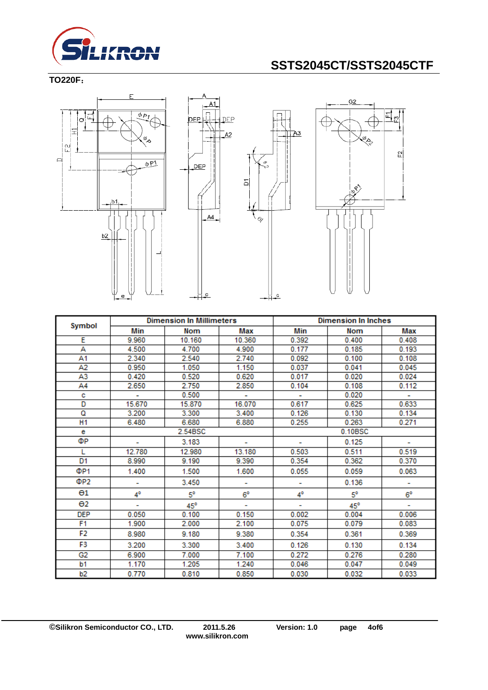

#### **TO220F**:







|                       | <b>Dimension In Millimeters</b> |            | <b>Dimension In Inches</b> |         |            |       |
|-----------------------|---------------------------------|------------|----------------------------|---------|------------|-------|
| Symbol                | Min                             | Nom        | Max                        | Min     | <b>Nom</b> | Max   |
| Ε                     | 9.960                           | 10.160     | 10.360                     | 0.392   | 0.400      | 0.408 |
| А                     | 4.500                           | 4.700      | 4.900                      | 0.177   | 0.185      | 0.193 |
| Α1                    | 2.340                           | 2.540      | 2.740                      | 0.092   | 0.100      | 0.108 |
| A2                    | 0.950                           | 1.050      | 1.150                      | 0.037   | 0.041      | 0.045 |
| A3                    | 0.420                           | 0.520      | 0.620                      | 0.017   | 0.020      | 0.024 |
| A4                    | 2.650                           | 2.750      | 2.850                      | 0.104   | 0.108      | 0.112 |
| с                     | ÷.                              | 0.500      | ٠                          |         | 0.020      | ÷.    |
| D                     | 15.670                          | 15.870     | 16.070                     | 0.617   | 0.625      | 0.633 |
| Q                     | 3.200                           | 3.300      | 3.400                      | 0.126   | 0.130      | 0.134 |
| H <sub>1</sub>        | 6.480                           | 6.680      | 6.880                      | 0.255   | 0.263      | 0.271 |
| е                     |                                 | 2.54BSC    |                            | 0.10BSC |            |       |
| ФP                    |                                 | 3.183      |                            |         | 0.125      |       |
| L                     | 12.780                          | 12.980     | 13.180                     | 0.503   | 0.511      | 0.519 |
| D1                    | 8.990                           | 9.190      | 9.390                      | 0.354   | 0.362      | 0.370 |
| ΦP1                   | 1.400                           | 1.500      | 1.600                      | 0.055   | 0.059      | 0.063 |
| ΦP2                   | ۰                               | 3.450      | ۰                          | ۰       | 0.136      | ۰     |
| $\Theta$ 1            | 4°                              | 5°         | 6°                         | 4°      | 5°         | 6°    |
| $\Theta$ <sub>2</sub> | ۰                               | $45^\circ$ |                            | ٠       | $45^\circ$ | ۰     |
| <b>DEP</b>            | 0.050                           | 0.100      | 0.150                      | 0.002   | 0.004      | 0.006 |
| F1                    | 1.900                           | 2.000      | 2.100                      | 0.075   | 0.079      | 0.083 |
| F2                    | 8.980                           | 9.180      | 9.380                      | 0.354   | 0.361      | 0.369 |
| F3                    | 3.200                           | 3.300      | 3.400                      | 0.126   | 0.130      | 0.134 |
| G2                    | 6.900                           | 7.000      | 7.100                      | 0.272   | 0.276      | 0.280 |
| b1                    | 1.170                           | 1.205      | 1.240                      | 0.046   | 0.047      | 0.049 |
| b2                    | 0.770                           | 0.810      | 0.850                      | 0.030   | 0.032      | 0.033 |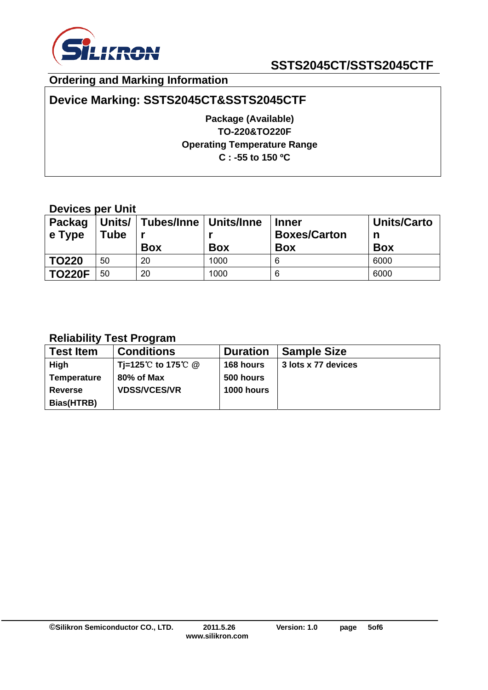

## **Ordering and Marking Information**

## **Device Marking: SSTS2045CT&SSTS2045CTF**

**Package (Available) TO-220&TO220F Operating Temperature Range C : -55 to 150 ºC** 

## **Devices per Unit**

| <b>Packag</b><br>$\vert$ e Type | Tube | Units/   Tubes/Inne   Units/Inne<br><b>Box</b> | <b>Box</b> | <b>Inner</b><br><b>Boxes/Carton</b><br><b>Box</b> | <b>Units/Carto</b><br>n<br><b>Box</b> |
|---------------------------------|------|------------------------------------------------|------------|---------------------------------------------------|---------------------------------------|
| <b>TO220</b>                    | 50   | 20                                             | 1000       | 6                                                 | 6000                                  |
| <b>TO220F</b>                   | 50   | 20                                             | 1000       | 6                                                 | 6000                                  |

## **Reliability Test Program**

| <b>Test Item</b>   | <b>Conditions</b>   | <b>Duration</b>   | <b>Sample Size</b>  |
|--------------------|---------------------|-------------------|---------------------|
| <b>High</b>        | Ti=125℃ to 175℃ @   | 168 hours         | 3 lots x 77 devices |
| <b>Temperature</b> | 80% of Max          | 500 hours         |                     |
| <b>Reverse</b>     | <b>VDSS/VCES/VR</b> | <b>1000 hours</b> |                     |
| Bias(HTRB)         |                     |                   |                     |